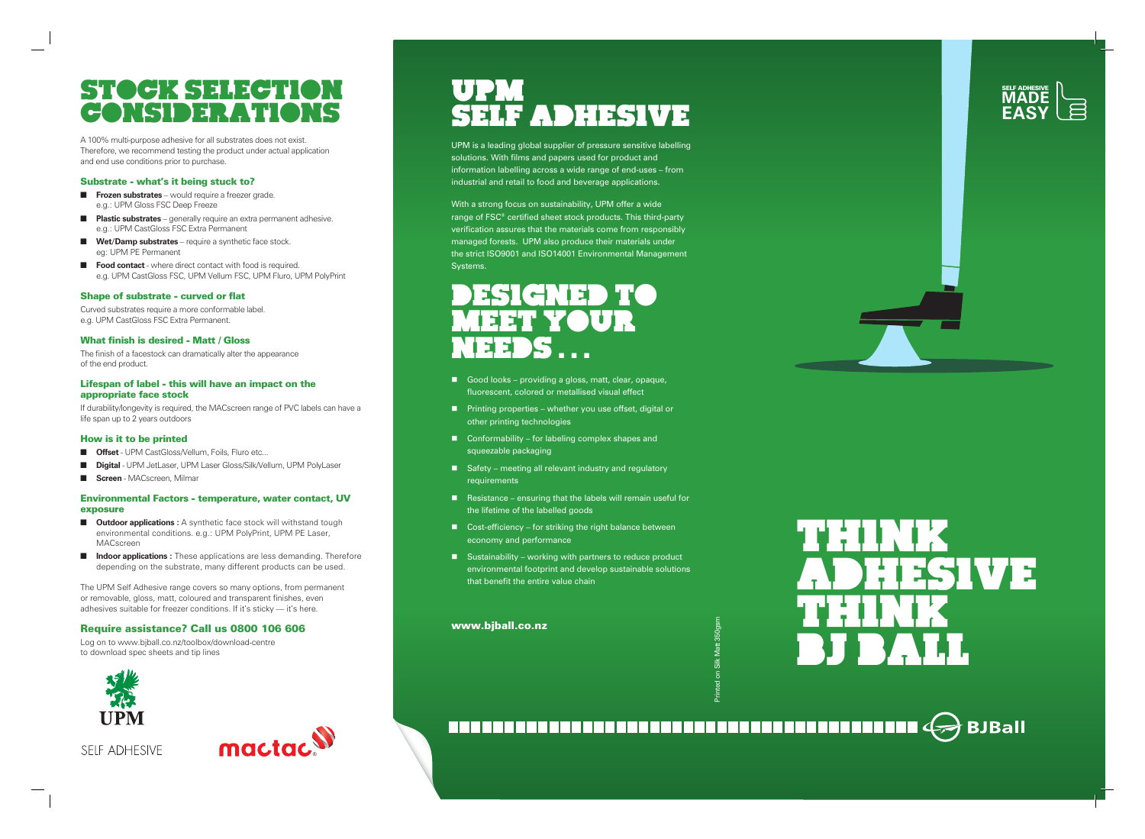# THINK EN MEXET ET THINK BJ BALL



# STOCK SELECTION Considerations



A 100% multi-purpose adhesive for all substrates does not exist. Therefore, we recommend testing the product under actual application and end use conditions prior to purchase.

# Substrate - what's it being stuck to?

- **Frozen substrates** would require a freezer grade. e.g.: UPM Gloss FSC Deep Freeze
- **n Plastic substrates** generally require an extra permanent adhesive. e.g.: UPM CastGloss FSC Extra Permanent
- **Net/Damp substrates** require a synthetic face stock. eg: UPM PE Permanent
- **Food contact** where direct contact with food is required. e.g. UPM CastGloss FSC, UPM Vellum FSC, UPM Fluro, UPM PolyPrint

### Shape of substrate - curved or flat

Curved substrates require a more conformable label. e.g. UPM CastGloss FSC Extra Permanent.

- **n Outdoor applications** : A synthetic face stock will withstand tough environmental conditions. e.g.: UPM PolyPrint, UPM PE Laser, MACscreen
- **n Indoor applications :** These applications are less demanding. Therefore depending on the substrate, many different products can be used.

# What finish is desired - Matt / Gloss

The finish of a facestock can dramatically alter the appearance of the end product.

### Lifespan of label - this will have an impact on the appropriate face stock

If durability/longevity is required, the MACscreen range of PVC labels can have a life span up to 2 years outdoors

### How is it to be printed

- **n Offset** UPM CastGloss/Vellum, Foils, Fluro etc..
- **Digital** UPM JetLaser, UPM Laser Gloss/Silk/Vellum, UPM PolyLaser
- **n** Screen MACscreen, Milmar

# Environmental Factors - temperature, water contact, UV exposure

- Good looks providing a gloss, matt, clear, opaque, fluorescent, colored or metallised visual effect
- Printing properties whether you use offset, digital or other printing technologies
- $\Box$  Conformability for labeling complex shapes and squeezable packaging
- $\blacksquare$  Safety meeting all relevant industry and regulatory requirements
- $\blacksquare$  Resistance ensuring that the labels will remain useful for the lifetime of the labelled goods
- $\Box$  Cost-efficiency for striking the right balance between economy and performance
- $\blacksquare$  Sustainability working with partners to reduce product environmental footprint and develop sustainable solutions that benefit the entire value chain

The UPM Self Adhesive range covers so many options, from permanent or removable, gloss, matt, coloured and transparent finishes, even adhesives suitable for freezer conditions. If it's sticky — it's here.

# Require assistance? Call us 0800 106 606

Log on to www.bjball.co.nz/toolbox/download-centre to download spec sheets and tip lines



**SELF ADHESIVE** 



# UPM SELF ADHESIVE

UPM is a leading global supplier of pressure sensitive labelling solutions. With films and papers used for product and information labelling across a wide range of end-uses – from industrial and retail to food and beverage applications.

With a strong focus on sustainability, UPM offer a wide range of FSC® certified sheet stock products. This third-party verification assures that the materials come from responsibly managed forests. UPM also produce their materials under the strict ISO9001 and ISO14001 Environmental Management Systems.

# DESIGNED TO MEET YOUR NEEDS . . .

# www.bjball.co.nz

#